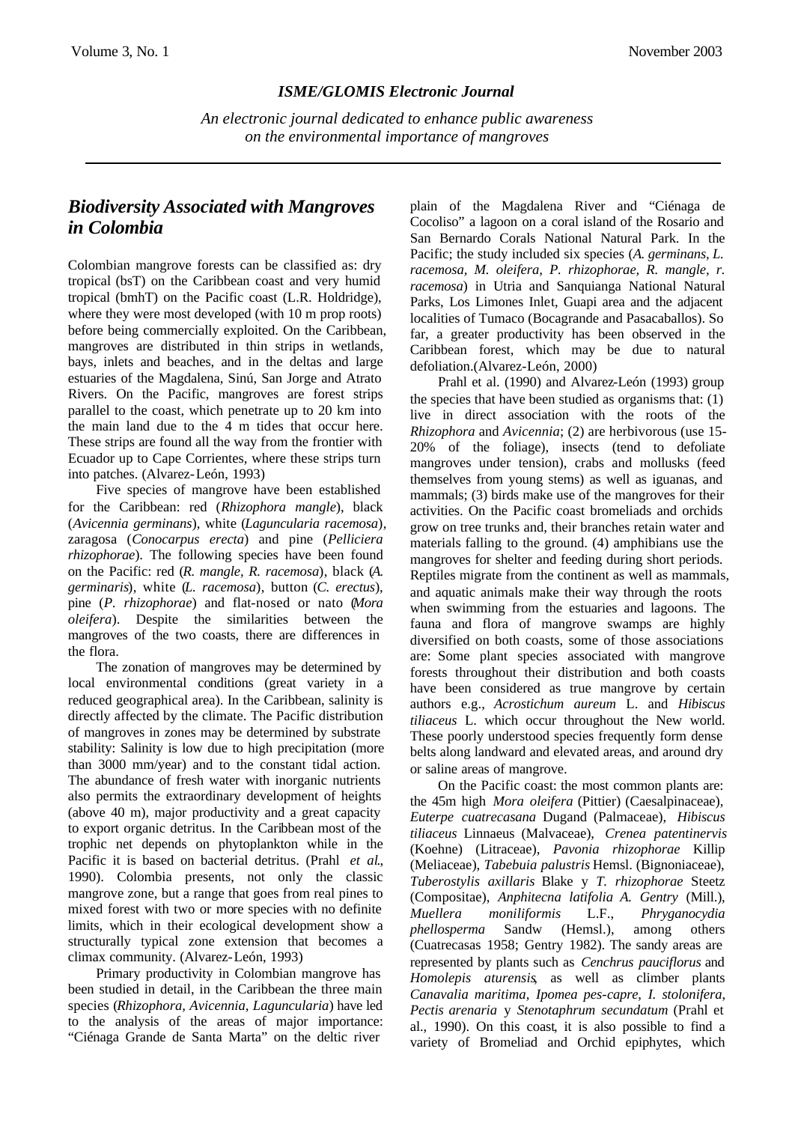## *ISME/GLOMIS Electronic Journal*

*An electronic journal dedicated to enhance public awareness on the environmental importance of mangroves*

## *Biodiversity Associated with Mangroves in Colombia*

Colombian mangrove forests can be classified as: dry tropical (bsT) on the Caribbean coast and very humid tropical (bmhT) on the Pacific coast (L.R. Holdridge), where they were most developed (with 10 m prop roots) before being commercially exploited. On the Caribbean, mangroves are distributed in thin strips in wetlands, bays, inlets and beaches, and in the deltas and large estuaries of the Magdalena, Sinú, San Jorge and Atrato Rivers. On the Pacific, mangroves are forest strips parallel to the coast, which penetrate up to 20 km into the main land due to the 4 m tides that occur here. These strips are found all the way from the frontier with Ecuador up to Cape Corrientes, where these strips turn into patches. (Alvarez-León, 1993)

Five species of mangrove have been established for the Caribbean: red (*Rhizophora mangle*), black (*Avicennia germinans*), white (*Laguncularia racemosa*), zaragosa (*Conocarpus erecta*) and pine (*Pelliciera rhizophorae*). The following species have been found on the Pacific: red (*R. mangle, R. racemosa*), black (*A. germinaris*), white (*L. racemosa*), button (*C. erectus*), pine (*P. rhizophorae*) and flat-nosed or nato (*Mora oleifera*). Despite the similarities between the mangroves of the two coasts, there are differences in the flora.

The zonation of mangroves may be determined by local environmental conditions (great variety in a reduced geographical area). In the Caribbean, salinity is directly affected by the climate. The Pacific distribution of mangroves in zones may be determined by substrate stability: Salinity is low due to high precipitation (more than 3000 mm/year) and to the constant tidal action. The abundance of fresh water with inorganic nutrients also permits the extraordinary development of heights (above 40 m), major productivity and a great capacity to export organic detritus. In the Caribbean most of the trophic net depends on phytoplankton while in the Pacific it is based on bacterial detritus. (Prahl *et al*., 1990). Colombia presents, not only the classic mangrove zone, but a range that goes from real pines to mixed forest with two or more species with no definite limits, which in their ecological development show a structurally typical zone extension that becomes a climax community. (Alvarez-León, 1993)

Primary productivity in Colombian mangrove has been studied in detail, in the Caribbean the three main species (*Rhizophora, Avicennia, Laguncularia*) have led to the analysis of the areas of major importance: "Ciénaga Grande de Santa Marta" on the deltic river

plain of the Magdalena River and "Ciénaga de Cocoliso" a lagoon on a coral island of the Rosario and San Bernardo Corals National Natural Park. In the Pacific; the study included six species (*A. germinans, L. racemosa, M. oleifera, P. rhizophorae, R. mangle, r. racemosa*) in Utria and Sanquianga National Natural Parks, Los Limones Inlet, Guapi area and the adjacent localities of Tumaco (Bocagrande and Pasacaballos). So far, a greater productivity has been observed in the Caribbean forest, which may be due to natural defoliation.(Alvarez-León, 2000)

Prahl et al. (1990) and Alvarez-León (1993) group the species that have been studied as organisms that: (1) live in direct association with the roots of the *Rhizophora* and *Avicennia*; (2) are herbivorous (use 15- 20% of the foliage), insects (tend to defoliate mangroves under tension), crabs and mollusks (feed themselves from young stems) as well as iguanas, and mammals; (3) birds make use of the mangroves for their activities. On the Pacific coast bromeliads and orchids grow on tree trunks and, their branches retain water and materials falling to the ground. (4) amphibians use the mangroves for shelter and feeding during short periods. Reptiles migrate from the continent as well as mammals, and aquatic animals make their way through the roots when swimming from the estuaries and lagoons. The fauna and flora of mangrove swamps are highly diversified on both coasts, some of those associations are: Some plant species associated with mangrove forests throughout their distribution and both coasts have been considered as true mangrove by certain authors e.g., *Acrostichum aureum* L. and *Hibiscus tiliaceus* L. which occur throughout the New world. These poorly understood species frequently form dense belts along landward and elevated areas, and around dry or saline areas of mangrove.

On the Pacific coast: the most common plants are: the 45m high *Mora oleifera* (Pittier) (Caesalpinaceae), *Euterpe cuatrecasana* Dugand (Palmaceae), *Hibiscus tiliaceus* Linnaeus (Malvaceae), *Crenea patentinervis* (Koehne) (Litraceae), *Pavonia rhizophorae* Killip (Meliaceae), *Tabebuia palustris* Hemsl. (Bignoniaceae), *Tuberostylis axillaris* Blake y *T. rhizophorae* Steetz (Compositae), *Anphitecna latifolia A. Gentry* (Mill.), *Muellera moniliformis* L.F., *Phryganocydia phellosperma* Sandw (Hemsl.), among others (Cuatrecasas 1958; Gentry 1982). The sandy areas are represented by plants such as *Cenchrus pauciflorus* and *Homolepis aturensis*, as well as climber plants *Canavalia maritima*, *Ipomea pes-capre*, *I. stolonifera*, *Pectis arenaria* y *Stenotaphrum secundatum* (Prahl et al., 1990). On this coast, it is also possible to find a variety of Bromeliad and Orchid epiphytes, which